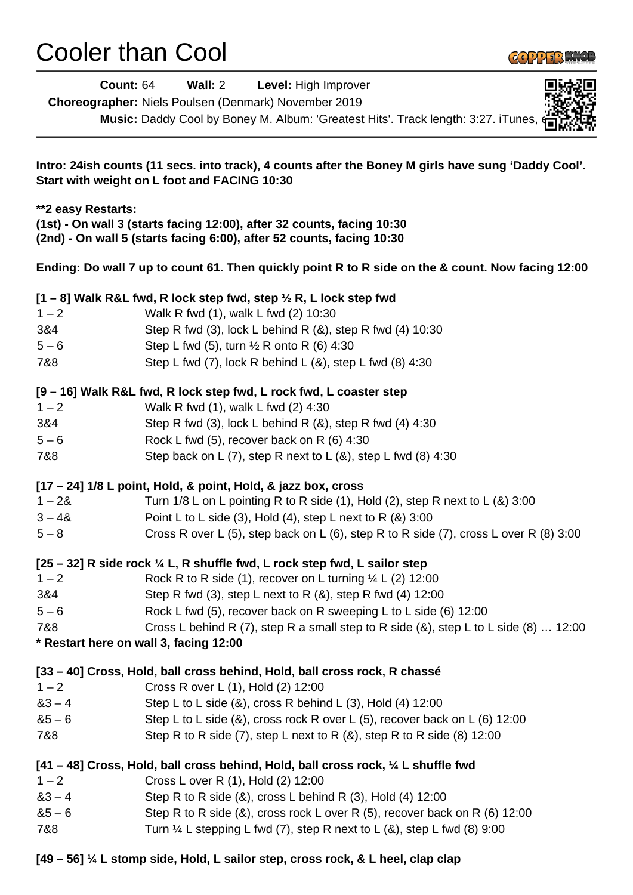## Cooler than Cool



| <b>Count: 64</b>                                                                                                                                                                                                                                                                                                             | Wall: 2<br>Level: High Improver<br>Choreographer: Niels Poulsen (Denmark) November 2019 |
|------------------------------------------------------------------------------------------------------------------------------------------------------------------------------------------------------------------------------------------------------------------------------------------------------------------------------|-----------------------------------------------------------------------------------------|
|                                                                                                                                                                                                                                                                                                                              | Music: Daddy Cool by Boney M. Album: 'Greatest Hits'. Track length: 3:27. iTunes,       |
| Intro: 24ish counts (11 secs. into track), 4 counts after the Boney M girls have sung 'Daddy Cool'.<br>Start with weight on L foot and FACING 10:30<br>**2 easy Restarts:<br>(1st) - On wall 3 (starts facing 12:00), after 32 counts, facing 10:30<br>(2nd) - On wall 5 (starts facing 6:00), after 52 counts, facing 10:30 |                                                                                         |
|                                                                                                                                                                                                                                                                                                                              |                                                                                         |
|                                                                                                                                                                                                                                                                                                                              | $[1 - 8]$ Walk R&L fwd, R lock step fwd, step $\frac{1}{2}$ R, L lock step fwd          |
| $1 - 2$                                                                                                                                                                                                                                                                                                                      | Walk R fwd (1), walk L fwd (2) 10:30                                                    |
| 3&4                                                                                                                                                                                                                                                                                                                          | Step R fwd (3), lock L behind R (&), step R fwd (4) 10:30                               |
| $5 - 6$                                                                                                                                                                                                                                                                                                                      | Step L fwd (5), turn 1/2 R onto R (6) 4:30                                              |
| 7&8                                                                                                                                                                                                                                                                                                                          | Step L fwd (7), lock R behind L (&), step L fwd (8) 4:30                                |
|                                                                                                                                                                                                                                                                                                                              | [9 - 16] Walk R&L fwd, R lock step fwd, L rock fwd, L coaster step                      |
| $1 - 2$                                                                                                                                                                                                                                                                                                                      | Walk R fwd (1), walk L fwd (2) 4:30                                                     |
| 3&4                                                                                                                                                                                                                                                                                                                          | Step R fwd (3), lock L behind R $(8)$ , step R fwd $(4)$ 4:30                           |
| $5 - 6$                                                                                                                                                                                                                                                                                                                      | Rock L fwd (5), recover back on R (6) 4:30                                              |
| 7&8                                                                                                                                                                                                                                                                                                                          | Step back on L (7), step R next to L (&), step L fwd (8) 4:30                           |
|                                                                                                                                                                                                                                                                                                                              | $[17 - 24]$ 1/8 L point, Hold, & point, Hold, & jazz box, cross                         |
| $1 - 28$                                                                                                                                                                                                                                                                                                                     | Turn $1/8$ L on L pointing R to R side (1), Hold (2), step R next to L (&) $3:00$       |
| $3 - 48$                                                                                                                                                                                                                                                                                                                     | Point L to L side (3), Hold (4), step L next to R (&) 3:00                              |
| $5-8$                                                                                                                                                                                                                                                                                                                        | Cross R over L (5), step back on L (6), step R to R side (7), cross L over R (8) 3:00   |
|                                                                                                                                                                                                                                                                                                                              | $[25 - 32]$ R side rock $\frac{1}{4}$ L, R shuffle fwd, L rock step fwd, L sailor step  |
| $1 - 2$                                                                                                                                                                                                                                                                                                                      | Rock R to R side (1), recover on L turning $\frac{1}{4}$ L (2) 12:00                    |
| 3&4                                                                                                                                                                                                                                                                                                                          | Step R fwd (3), step L next to R (&), step R fwd (4) 12:00                              |
| $5 - 6$                                                                                                                                                                                                                                                                                                                      | Rock L fwd (5), recover back on R sweeping L to L side (6) 12:00                        |
| 7&8                                                                                                                                                                                                                                                                                                                          | Cross L behind R (7), step R a small step to R side (&), step L to L side (8)  12:00    |
|                                                                                                                                                                                                                                                                                                                              | * Restart here on wall 3, facing 12:00                                                  |
|                                                                                                                                                                                                                                                                                                                              | [33 – 40] Cross, Hold, ball cross behind, Hold, ball cross rock, R chassé               |
| $1 - 2$                                                                                                                                                                                                                                                                                                                      | Cross R over L (1), Hold (2) 12:00                                                      |
| $83 - 4$                                                                                                                                                                                                                                                                                                                     | Step L to L side $(8)$ , cross R behind L $(3)$ , Hold $(4)$ 12:00                      |
| $85 - 6$                                                                                                                                                                                                                                                                                                                     | Step L to L side (&), cross rock R over L (5), recover back on L (6) 12:00              |
| 7&8                                                                                                                                                                                                                                                                                                                          | Step R to R side $(7)$ , step L next to R $(8)$ , step R to R side $(8)$ 12:00          |
|                                                                                                                                                                                                                                                                                                                              | [41 – 48] Cross, Hold, ball cross behind, Hold, ball cross rock, 1/4 L shuffle fwd      |
| $1 - 2$                                                                                                                                                                                                                                                                                                                      | Cross L over R (1), Hold (2) 12:00                                                      |
| $83 - 4$                                                                                                                                                                                                                                                                                                                     | Step R to R side $(8)$ , cross L behind R $(3)$ , Hold $(4)$ 12:00                      |
| $85 - 6$                                                                                                                                                                                                                                                                                                                     | Step R to R side (&), cross rock L over R (5), recover back on R (6) 12:00              |
| 7&8                                                                                                                                                                                                                                                                                                                          | Turn $\frac{1}{4}$ L stepping L fwd (7), step R next to L (&), step L fwd (8) 9:00      |
|                                                                                                                                                                                                                                                                                                                              |                                                                                         |

**[49 – 56] ¼ L stomp side, Hold, L sailor step, cross rock, & L heel, clap clap**